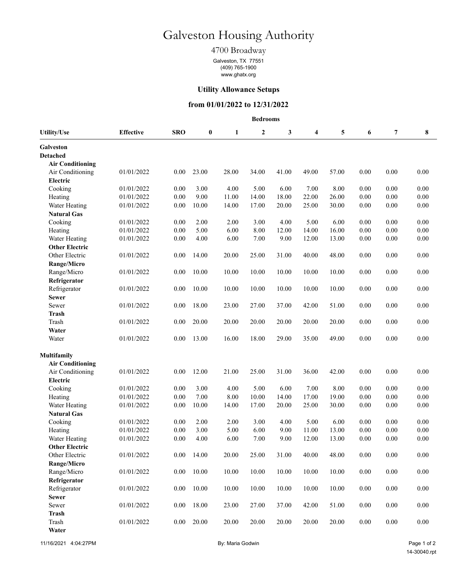# Galveston Housing Authority

## 4700 Broadway

Galveston, TX 77551 (409) 765-1900 www.ghatx.org

#### **Utility Allowance Setups**

#### **from 01/01/2022 to 12/31/2022**

|                         | <b>Bedrooms</b>  |            |                  |       |                  |       |       |       |          |                |          |  |
|-------------------------|------------------|------------|------------------|-------|------------------|-------|-------|-------|----------|----------------|----------|--|
| <b>Utility/Use</b>      | <b>Effective</b> | <b>SRO</b> | $\boldsymbol{0}$ | 1     | $\boldsymbol{2}$ | 3     | 4     | 5     | 6        | $\overline{7}$ | 8        |  |
| Galveston               |                  |            |                  |       |                  |       |       |       |          |                |          |  |
| <b>Detached</b>         |                  |            |                  |       |                  |       |       |       |          |                |          |  |
| <b>Air Conditioning</b> |                  |            |                  |       |                  |       |       |       |          |                |          |  |
| Air Conditioning        | 01/01/2022       | 0.00       | 23.00            | 28.00 | 34.00            | 41.00 | 49.00 | 57.00 | 0.00     | 0.00           | 0.00     |  |
| Electric                |                  |            |                  |       |                  |       |       |       |          |                |          |  |
| Cooking                 | 01/01/2022       | 0.00       | 3.00             | 4.00  | 5.00             | 6.00  | 7.00  | 8.00  | 0.00     | 0.00           | 0.00     |  |
| Heating                 | 01/01/2022       | 0.00       | 9.00             | 11.00 | 14.00            | 18.00 | 22.00 | 26.00 | 0.00     | 0.00           | 0.00     |  |
| Water Heating           | 01/01/2022       | 0.00       | 10.00            | 14.00 | 17.00            | 20.00 | 25.00 | 30.00 | 0.00     | 0.00           | $0.00\,$ |  |
| <b>Natural Gas</b>      |                  |            |                  |       |                  |       |       |       |          |                |          |  |
| Cooking                 | 01/01/2022       | 0.00       | 2.00             | 2.00  | 3.00             | 4.00  | 5.00  | 6.00  | 0.00     | 0.00           | 0.00     |  |
| Heating                 | 01/01/2022       | 0.00       | 5.00             | 6.00  | 8.00             | 12.00 | 14.00 | 16.00 | 0.00     | 0.00           | 0.00     |  |
| Water Heating           | 01/01/2022       | 0.00       | 4.00             | 6.00  | 7.00             | 9.00  | 12.00 | 13.00 | 0.00     | 0.00           | $0.00\,$ |  |
| <b>Other Electric</b>   |                  |            |                  |       |                  |       |       |       |          |                |          |  |
| Other Electric          | 01/01/2022       | 0.00       | 14.00            | 20.00 | 25.00            | 31.00 | 40.00 | 48.00 | 0.00     | 0.00           | 0.00     |  |
| Range/Micro             |                  |            |                  |       |                  |       |       |       |          |                |          |  |
| Range/Micro             | 01/01/2022       | 0.00       | 10.00            | 10.00 | 10.00            | 10.00 | 10.00 | 10.00 | 0.00     | 0.00           | 0.00     |  |
| Refrigerator            |                  |            |                  |       |                  |       |       |       |          |                |          |  |
| Refrigerator            | 01/01/2022       | 0.00       | 10.00            | 10.00 | 10.00            | 10.00 | 10.00 | 10.00 | 0.00     | 0.00           | 0.00     |  |
| <b>Sewer</b>            |                  |            |                  |       |                  |       |       |       |          |                |          |  |
| Sewer                   | 01/01/2022       | 0.00       | 18.00            | 23.00 | 27.00            | 37.00 | 42.00 | 51.00 | 0.00     | 0.00           | 0.00     |  |
| <b>Trash</b>            |                  |            |                  |       |                  |       |       |       |          |                |          |  |
| Trash                   | 01/01/2022       | 0.00       | 20.00            | 20.00 | 20.00            | 20.00 | 20.00 | 20.00 | 0.00     | 0.00           | 0.00     |  |
| Water                   |                  |            |                  |       |                  |       |       |       |          |                |          |  |
| Water                   | 01/01/2022       | 0.00       | 13.00            | 16.00 | 18.00            | 29.00 | 35.00 | 49.00 | 0.00     | 0.00           | 0.00     |  |
| Multifamily             |                  |            |                  |       |                  |       |       |       |          |                |          |  |
| <b>Air Conditioning</b> |                  |            |                  |       |                  |       |       |       |          |                |          |  |
| Air Conditioning        | 01/01/2022       | 0.00       | 12.00            | 21.00 | 25.00            | 31.00 | 36.00 | 42.00 | 0.00     | 0.00           | 0.00     |  |
| Electric                |                  |            |                  |       |                  |       |       |       |          |                |          |  |
| Cooking                 | 01/01/2022       | 0.00       | 3.00             | 4.00  | 5.00             | 6.00  | 7.00  | 8.00  | 0.00     | 0.00           | 0.00     |  |
| Heating                 | 01/01/2022       | 0.00       | 7.00             | 8.00  | 10.00            | 14.00 | 17.00 | 19.00 | 0.00     | 0.00           | 0.00     |  |
| Water Heating           | 01/01/2022       | 0.00       | 10.00            | 14.00 | 17.00            | 20.00 | 25.00 | 30.00 | 0.00     | 0.00           | 0.00     |  |
| <b>Natural Gas</b>      |                  |            |                  |       |                  |       |       |       |          |                |          |  |
| Cooking                 | 01/01/2022       | 0.00       | 2.00             | 2.00  | 3.00             | 4.00  | 5.00  | 6.00  | 0.00     | 0.00           | 0.00     |  |
| Heating                 | 01/01/2022       | 0.00       | 3.00             | 5.00  | 6.00             | 9.00  | 11.00 | 13.00 | $0.00\,$ | 0.00           | 0.00     |  |
| Water Heating           | 01/01/2022       | 0.00       | 4.00             | 6.00  | 7.00             | 9.00  | 12.00 | 13.00 | 0.00     | 0.00           | 0.00     |  |
| <b>Other Electric</b>   |                  |            |                  |       |                  |       |       |       |          |                |          |  |
| Other Electric          | 01/01/2022       | 0.00       | 14.00            | 20.00 | 25.00            | 31.00 | 40.00 | 48.00 | 0.00     | 0.00           | $0.00\,$ |  |
| Range/Micro             |                  |            |                  |       |                  |       |       |       |          |                |          |  |
| Range/Micro             | 01/01/2022       | 0.00       | 10.00            | 10.00 | 10.00            | 10.00 | 10.00 | 10.00 | 0.00     | 0.00           | 0.00     |  |
| Refrigerator            |                  |            |                  |       |                  |       |       |       |          |                |          |  |
| Refrigerator            | 01/01/2022       | 0.00       | 10.00            | 10.00 | 10.00            | 10.00 | 10.00 | 10.00 | 0.00     | 0.00           | 0.00     |  |
| <b>Sewer</b>            |                  |            |                  |       |                  |       |       |       |          |                |          |  |
| Sewer                   | 01/01/2022       | 0.00       | 18.00            | 23.00 | 27.00            | 37.00 | 42.00 | 51.00 | 0.00     | 0.00           | 0.00     |  |
| <b>Trash</b>            |                  |            |                  |       |                  |       |       |       |          |                |          |  |
| Trash                   | 01/01/2022       | 0.00       | 20.00            | 20.00 | 20.00            | 20.00 | 20.00 | 20.00 | $0.00\,$ | $0.00\,$       | $0.00\,$ |  |
| Water                   |                  |            |                  |       |                  |       |       |       |          |                |          |  |